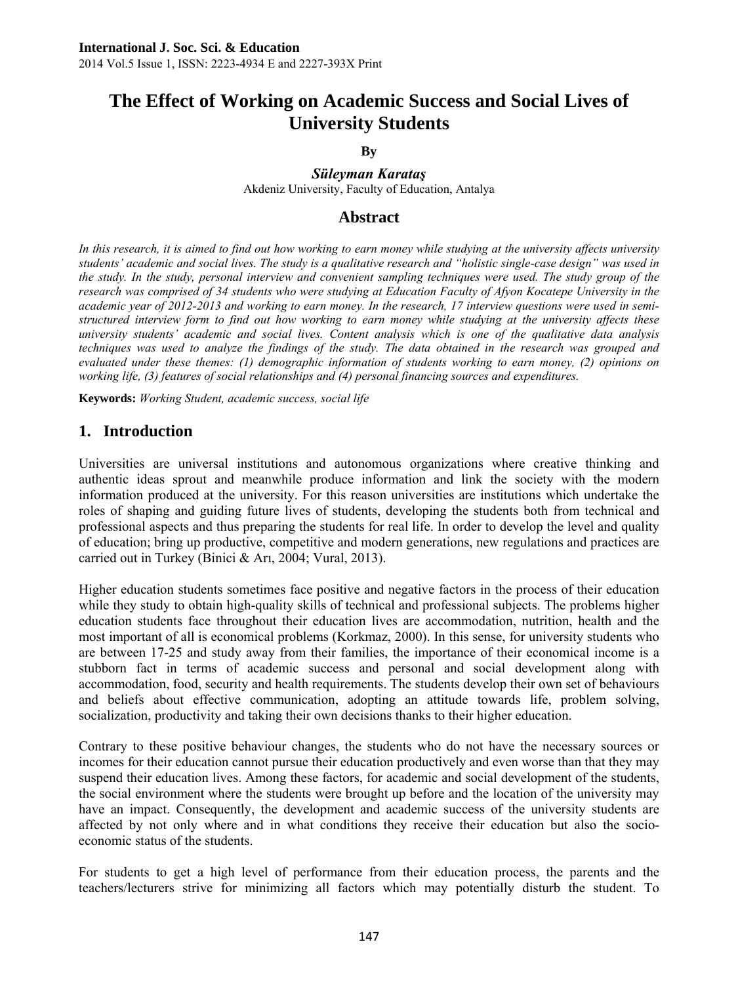# **The Effect of Working on Academic Success and Social Lives of University Students**

**By** 

*Süleyman Karataş*

Akdeniz University, Faculty of Education, Antalya

## **Abstract**

In this research, it is aimed to find out how working to earn money while studying at the university affects university *students' academic and social lives. The study is a qualitative research and "holistic single-case design" was used in the study. In the study, personal interview and convenient sampling techniques were used. The study group of the* research was comprised of 34 students who were studying at Education Faculty of Afyon Kocatepe University in the *academic year of 2012-2013 and working to earn money. In the research, 17 interview questions were used in semistructured interview form to find out how working to earn money while studying at the university affects these university students' academic and social lives. Content analysis which is one of the qualitative data analysis techniques was used to analyze the findings of the study. The data obtained in the research was grouped and evaluated under these themes: (1) demographic information of students working to earn money, (2) opinions on working life, (3) features of social relationships and (4) personal financing sources and expenditures.* 

**Keywords:** *Working Student, academic success, social life* 

# **1. Introduction**

Universities are universal institutions and autonomous organizations where creative thinking and authentic ideas sprout and meanwhile produce information and link the society with the modern information produced at the university. For this reason universities are institutions which undertake the roles of shaping and guiding future lives of students, developing the students both from technical and professional aspects and thus preparing the students for real life. In order to develop the level and quality of education; bring up productive, competitive and modern generations, new regulations and practices are carried out in Turkey (Binici & Arı, 2004; Vural, 2013).

Higher education students sometimes face positive and negative factors in the process of their education while they study to obtain high-quality skills of technical and professional subjects. The problems higher education students face throughout their education lives are accommodation, nutrition, health and the most important of all is economical problems (Korkmaz, 2000). In this sense, for university students who are between 17-25 and study away from their families, the importance of their economical income is a stubborn fact in terms of academic success and personal and social development along with accommodation, food, security and health requirements. The students develop their own set of behaviours and beliefs about effective communication, adopting an attitude towards life, problem solving, socialization, productivity and taking their own decisions thanks to their higher education.

Contrary to these positive behaviour changes, the students who do not have the necessary sources or incomes for their education cannot pursue their education productively and even worse than that they may suspend their education lives. Among these factors, for academic and social development of the students, the social environment where the students were brought up before and the location of the university may have an impact. Consequently, the development and academic success of the university students are affected by not only where and in what conditions they receive their education but also the socioeconomic status of the students.

For students to get a high level of performance from their education process, the parents and the teachers/lecturers strive for minimizing all factors which may potentially disturb the student. To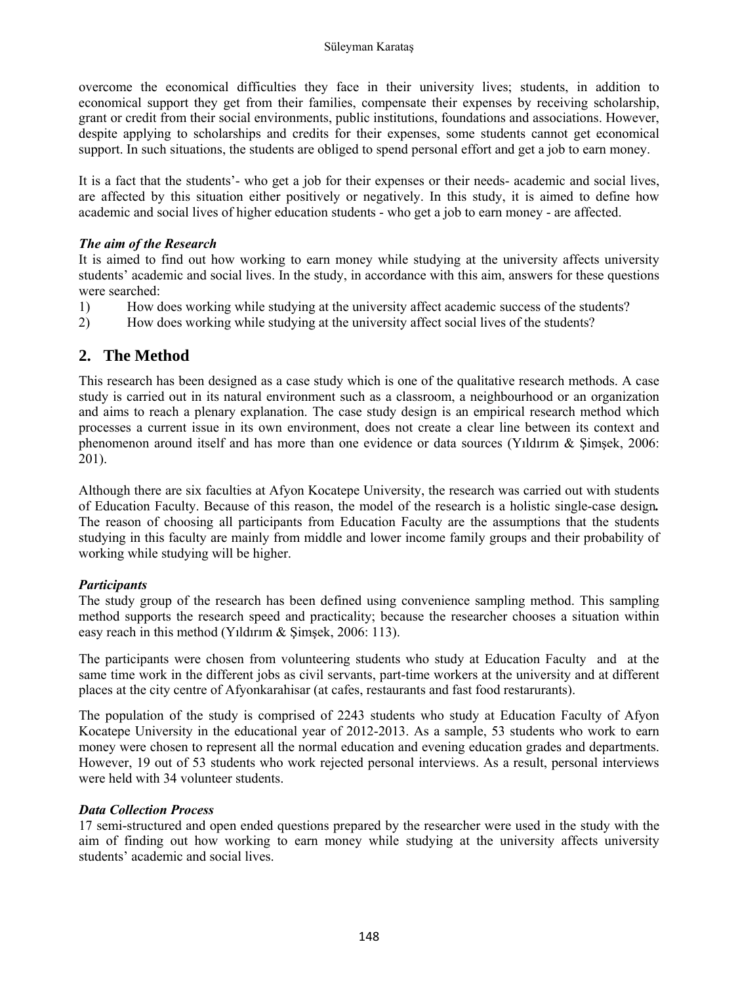overcome the economical difficulties they face in their university lives; students, in addition to economical support they get from their families, compensate their expenses by receiving scholarship, grant or credit from their social environments, public institutions, foundations and associations. However, despite applying to scholarships and credits for their expenses, some students cannot get economical support. In such situations, the students are obliged to spend personal effort and get a job to earn money.

It is a fact that the students'- who get a job for their expenses or their needs- academic and social lives, are affected by this situation either positively or negatively. In this study, it is aimed to define how academic and social lives of higher education students - who get a job to earn money - are affected.

## *The aim of the Research*

It is aimed to find out how working to earn money while studying at the university affects university students' academic and social lives. In the study, in accordance with this aim, answers for these questions were searched:

- 1) How does working while studying at the university affect academic success of the students?
- 2) How does working while studying at the university affect social lives of the students?

# **2. The Method**

This research has been designed as a case study which is one of the qualitative research methods. A case study is carried out in its natural environment such as a classroom, a neighbourhood or an organization and aims to reach a plenary explanation. The case study design is an empirical research method which processes a current issue in its own environment, does not create a clear line between its context and phenomenon around itself and has more than one evidence or data sources (Yıldırım & Şimşek, 2006: 201).

Although there are six faculties at Afyon Kocatepe University, the research was carried out with students of Education Faculty. Because of this reason, the model of the research is a holistic single-case design*.*  The reason of choosing all participants from Education Faculty are the assumptions that the students studying in this faculty are mainly from middle and lower income family groups and their probability of working while studying will be higher.

## *Participants*

The study group of the research has been defined using convenience sampling method. This sampling method supports the research speed and practicality; because the researcher chooses a situation within easy reach in this method (Yıldırım & Şimşek, 2006: 113).

The participants were chosen from volunteering students who study at Education Faculty and at the same time work in the different jobs as civil servants, part-time workers at the university and at different places at the city centre of Afyonkarahisar (at cafes, restaurants and fast food restarurants).

The population of the study is comprised of 2243 students who study at Education Faculty of Afyon Kocatepe University in the educational year of 2012-2013. As a sample, 53 students who work to earn money were chosen to represent all the normal education and evening education grades and departments. However, 19 out of 53 students who work rejected personal interviews. As a result, personal interviews were held with 34 volunteer students.

### *Data Collection Process*

17 semi-structured and open ended questions prepared by the researcher were used in the study with the aim of finding out how working to earn money while studying at the university affects university students' academic and social lives.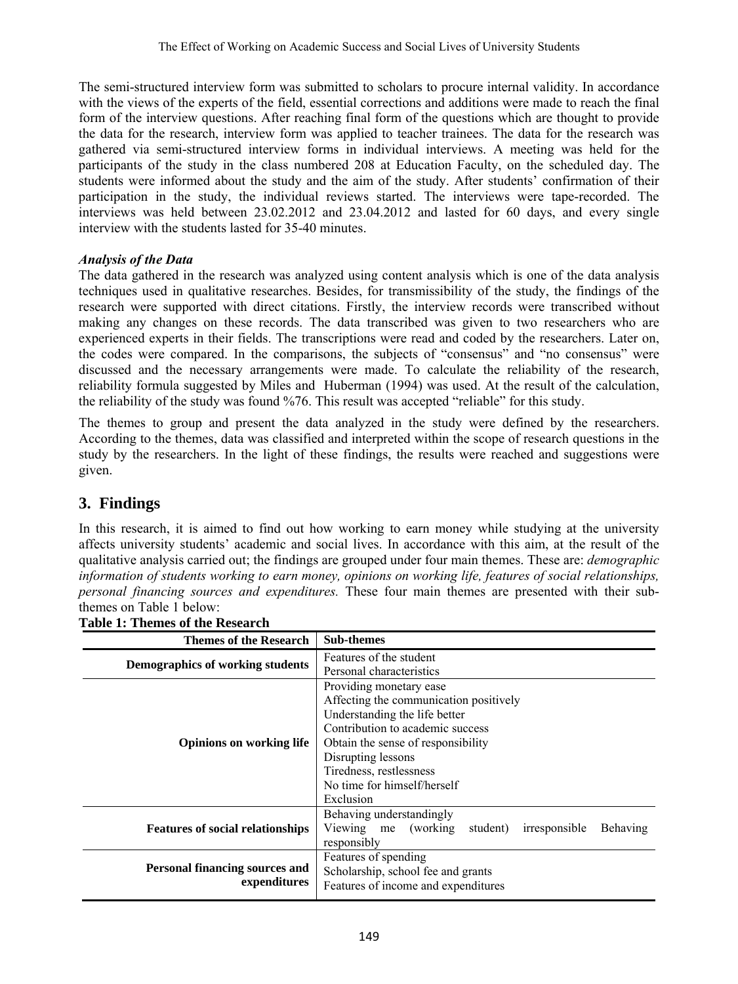The semi-structured interview form was submitted to scholars to procure internal validity. In accordance with the views of the experts of the field, essential corrections and additions were made to reach the final form of the interview questions. After reaching final form of the questions which are thought to provide the data for the research, interview form was applied to teacher trainees. The data for the research was gathered via semi-structured interview forms in individual interviews. A meeting was held for the participants of the study in the class numbered 208 at Education Faculty, on the scheduled day. The students were informed about the study and the aim of the study. After students' confirmation of their participation in the study, the individual reviews started. The interviews were tape-recorded. The interviews was held between 23.02.2012 and 23.04.2012 and lasted for 60 days, and every single interview with the students lasted for 35-40 minutes.

## *Analysis of the Data*

The data gathered in the research was analyzed using content analysis which is one of the data analysis techniques used in qualitative researches. Besides, for transmissibility of the study, the findings of the research were supported with direct citations. Firstly, the interview records were transcribed without making any changes on these records. The data transcribed was given to two researchers who are experienced experts in their fields. The transcriptions were read and coded by the researchers. Later on, the codes were compared. In the comparisons, the subjects of "consensus" and "no consensus" were discussed and the necessary arrangements were made. To calculate the reliability of the research, reliability formula suggested by Miles and Huberman (1994) was used. At the result of the calculation, the reliability of the study was found %76. This result was accepted "reliable" for this study.

The themes to group and present the data analyzed in the study were defined by the researchers. According to the themes, data was classified and interpreted within the scope of research questions in the study by the researchers. In the light of these findings, the results were reached and suggestions were given.

# **3. Findings**

In this research, it is aimed to find out how working to earn money while studying at the university affects university students' academic and social lives. In accordance with this aim, at the result of the qualitative analysis carried out; the findings are grouped under four main themes. These are: *demographic information of students working to earn money, opinions on working life, features of social relationships, personal financing sources and expenditures.* These four main themes are presented with their subthemes on Table 1 below:

| Features of the student<br>Demographics of working students<br>Personal characteristics<br>Providing monetary ease.<br>Affecting the communication positively<br>Understanding the life better<br>Contribution to academic success<br>Obtain the sense of responsibility<br><b>Opinions on working life</b><br>Disrupting lessons<br>Tiredness, restlessness<br>No time for himself/herself<br>Exclusion<br>Behaving understandingly<br>Viewing me (working<br>student)<br>irresponsible<br><b>Behaving</b><br><b>Features of social relationships</b><br>responsibly<br>Features of spending | <b>Themes of the Research</b>                         | <b>Sub-themes</b>                  |
|-----------------------------------------------------------------------------------------------------------------------------------------------------------------------------------------------------------------------------------------------------------------------------------------------------------------------------------------------------------------------------------------------------------------------------------------------------------------------------------------------------------------------------------------------------------------------------------------------|-------------------------------------------------------|------------------------------------|
|                                                                                                                                                                                                                                                                                                                                                                                                                                                                                                                                                                                               |                                                       |                                    |
|                                                                                                                                                                                                                                                                                                                                                                                                                                                                                                                                                                                               |                                                       |                                    |
|                                                                                                                                                                                                                                                                                                                                                                                                                                                                                                                                                                                               |                                                       |                                    |
|                                                                                                                                                                                                                                                                                                                                                                                                                                                                                                                                                                                               |                                                       |                                    |
|                                                                                                                                                                                                                                                                                                                                                                                                                                                                                                                                                                                               |                                                       |                                    |
|                                                                                                                                                                                                                                                                                                                                                                                                                                                                                                                                                                                               |                                                       |                                    |
|                                                                                                                                                                                                                                                                                                                                                                                                                                                                                                                                                                                               |                                                       |                                    |
|                                                                                                                                                                                                                                                                                                                                                                                                                                                                                                                                                                                               |                                                       |                                    |
|                                                                                                                                                                                                                                                                                                                                                                                                                                                                                                                                                                                               |                                                       |                                    |
|                                                                                                                                                                                                                                                                                                                                                                                                                                                                                                                                                                                               |                                                       |                                    |
|                                                                                                                                                                                                                                                                                                                                                                                                                                                                                                                                                                                               |                                                       |                                    |
|                                                                                                                                                                                                                                                                                                                                                                                                                                                                                                                                                                                               |                                                       |                                    |
|                                                                                                                                                                                                                                                                                                                                                                                                                                                                                                                                                                                               |                                                       |                                    |
|                                                                                                                                                                                                                                                                                                                                                                                                                                                                                                                                                                                               |                                                       |                                    |
|                                                                                                                                                                                                                                                                                                                                                                                                                                                                                                                                                                                               | <b>Personal financing sources and</b><br>expenditures |                                    |
|                                                                                                                                                                                                                                                                                                                                                                                                                                                                                                                                                                                               |                                                       | Scholarship, school fee and grants |
| Features of income and expenditures                                                                                                                                                                                                                                                                                                                                                                                                                                                                                                                                                           |                                                       |                                    |

**Table 1: Themes of the Research**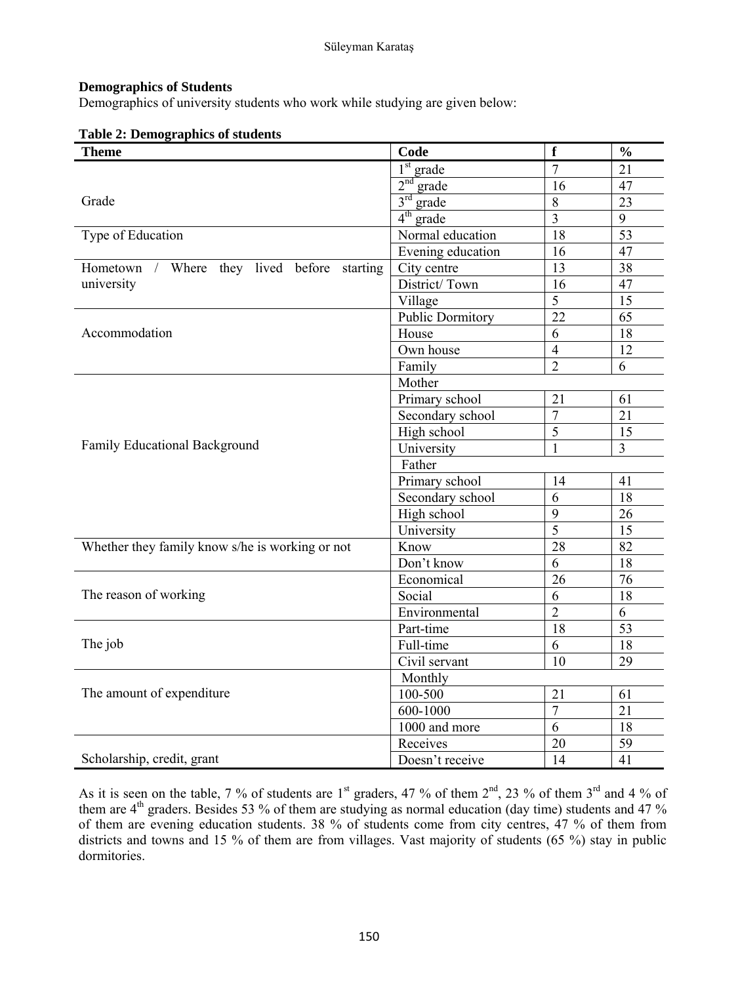### **Demographics of Students**

Demographics of university students who work while studying are given below:

|  |  |  | <b>Table 2: Demographics of students</b> |
|--|--|--|------------------------------------------|
|--|--|--|------------------------------------------|

| <b>Theme</b>                                    | Code                     | $\mathbf f$     | $\frac{0}{0}$   |  |
|-------------------------------------------------|--------------------------|-----------------|-----------------|--|
|                                                 | $1st$ grade              | $\overline{7}$  | 21              |  |
|                                                 | 2 <sup>nd</sup><br>grade | 16              | 47              |  |
| Grade                                           | $3^{\text{rd}}$<br>grade | 8               | 23              |  |
|                                                 | $4^{\text{th}}$<br>grade | $\overline{3}$  | $\overline{9}$  |  |
| Type of Education                               | Normal education         | $\overline{18}$ | $\overline{53}$ |  |
|                                                 | Evening education        | 16              | 47              |  |
| Hometown / Where they lived before<br>starting  | City centre              | 13              | $\overline{38}$ |  |
| university                                      | District/Town            | 16              | 47              |  |
|                                                 | Village                  | 5               | 15              |  |
|                                                 | Public Dormitory         | $\overline{22}$ | $\overline{65}$ |  |
| Accommodation                                   | House                    | 6               | 18              |  |
|                                                 | Own house                | $\overline{4}$  | 12              |  |
|                                                 | Family                   | $\overline{2}$  | 6               |  |
|                                                 | Mother                   |                 |                 |  |
|                                                 | Primary school           | 21              | 61              |  |
|                                                 | Secondary school         | $\overline{7}$  | 21              |  |
|                                                 | High school              | $\overline{5}$  | 15              |  |
| Family Educational Background                   | University               | $\mathbf{1}$    | $\overline{3}$  |  |
|                                                 | Father                   |                 |                 |  |
|                                                 | Primary school           | 14              | 41              |  |
|                                                 | Secondary school         | 6               | 18              |  |
|                                                 | High school              | 9               | 26              |  |
|                                                 | University               | 5               | 15              |  |
| Whether they family know s/he is working or not | Know                     | $\overline{28}$ | 82              |  |
|                                                 | Don't know               | 6               | 18              |  |
|                                                 | Economical               | 26              | 76              |  |
| The reason of working                           | Social                   | 6               | 18              |  |
|                                                 | Environmental            | $\overline{2}$  | 6               |  |
|                                                 | Part-time                | 18              | 53              |  |
| The job                                         | Full-time                | 6               | 18              |  |
|                                                 | Civil servant            | 10              | 29              |  |
|                                                 | Monthly                  |                 |                 |  |
| The amount of expenditure                       | $100 - 500$              | 21              | 61              |  |
|                                                 | 600-1000                 | $\overline{7}$  | 21              |  |
|                                                 | 1000 and more            | 6               | 18              |  |
|                                                 | Receives                 | 20              | 59              |  |
| Scholarship, credit, grant                      | Doesn't receive          | 14              | 41              |  |

As it is seen on the table, 7 % of students are  $1<sup>st</sup>$  graders, 47 % of them  $2<sup>nd</sup>$ , 23 % of them  $3<sup>rd</sup>$  and 4 % of them are  $4<sup>th</sup>$  graders. Besides 53 % of them are studying as normal education (day time) students and 47 % of them are evening education students. 38 % of students come from city centres, 47 % of them from districts and towns and 15 % of them are from villages. Vast majority of students (65 %) stay in public dormitories.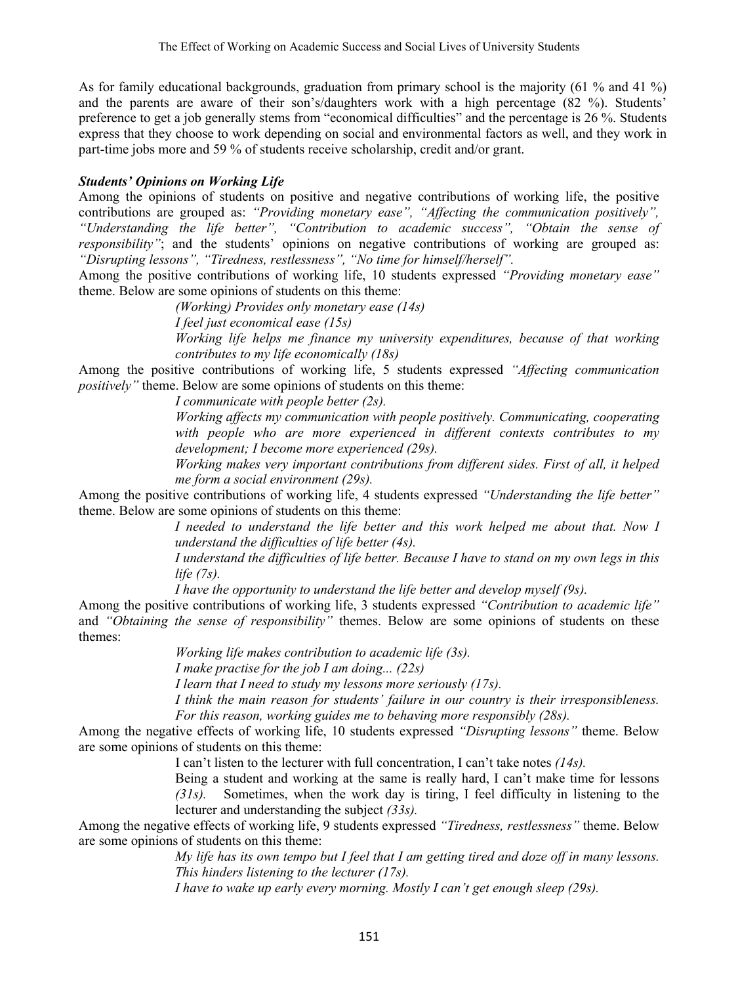As for family educational backgrounds, graduation from primary school is the majority (61 % and 41 %) and the parents are aware of their son's/daughters work with a high percentage (82 %). Students' preference to get a job generally stems from "economical difficulties" and the percentage is 26 %. Students express that they choose to work depending on social and environmental factors as well, and they work in part-time jobs more and 59 % of students receive scholarship, credit and/or grant.

## *Students' Opinions on Working Life*

Among the opinions of students on positive and negative contributions of working life, the positive contributions are grouped as: *"Providing monetary ease", "Affecting the communication positively", "Understanding the life better", "Contribution to academic success", "Obtain the sense of responsibility"*; and the students' opinions on negative contributions of working are grouped as: *"Disrupting lessons", "Tiredness, restlessness", "No time for himself/herself".* 

Among the positive contributions of working life, 10 students expressed *"Providing monetary ease"*  theme. Below are some opinions of students on this theme:

 *(Working) Provides only monetary ease (14s)* 

 *I feel just economical ease (15s)* 

*Working life helps me finance my university expenditures, because of that working contributes to my life economically (18s)* 

Among the positive contributions of working life, 5 students expressed *"Affecting communication positively"* theme. Below are some opinions of students on this theme:

*I communicate with people better (2s).* 

*Working affects my communication with people positively. Communicating, cooperating with people who are more experienced in different contexts contributes to my development; I become more experienced (29s).* 

*Working makes very important contributions from different sides. First of all, it helped me form a social environment (29s).* 

Among the positive contributions of working life, 4 students expressed *"Understanding the life better"*  theme. Below are some opinions of students on this theme:

> *I* needed to understand the life better and this work helped me about that. Now I *understand the difficulties of life better (4s).*

*I understand the difficulties of life better. Because I have to stand on my own legs in this life (7s).* 

*I have the opportunity to understand the life better and develop myself (9s).* 

Among the positive contributions of working life, 3 students expressed *"Contribution to academic life"*  and *"Obtaining the sense of responsibility"* themes. Below are some opinions of students on these themes:

 *Working life makes contribution to academic life (3s).* 

 *I make practise for the job I am doing... (22s)* 

 *I learn that I need to study my lessons more seriously (17s).* 

*I think the main reason for students' failure in our country is their irresponsibleness. For this reason, working guides me to behaving more responsibly (28s).* 

Among the negative effects of working life, 10 students expressed *"Disrupting lessons"* theme. Below are some opinions of students on this theme:

I can't listen to the lecturer with full concentration, I can't take notes *(14s).* 

Being a student and working at the same is really hard, I can't make time for lessons *(31s).* Sometimes, when the work day is tiring, I feel difficulty in listening to the lecturer and understanding the subject *(33s).*

Among the negative effects of working life, 9 students expressed *"Tiredness, restlessness"* theme. Below are some opinions of students on this theme:

*My life has its own tempo but I feel that I am getting tired and doze off in many lessons. This hinders listening to the lecturer (17s).* 

*I have to wake up early every morning. Mostly I can't get enough sleep (29s).*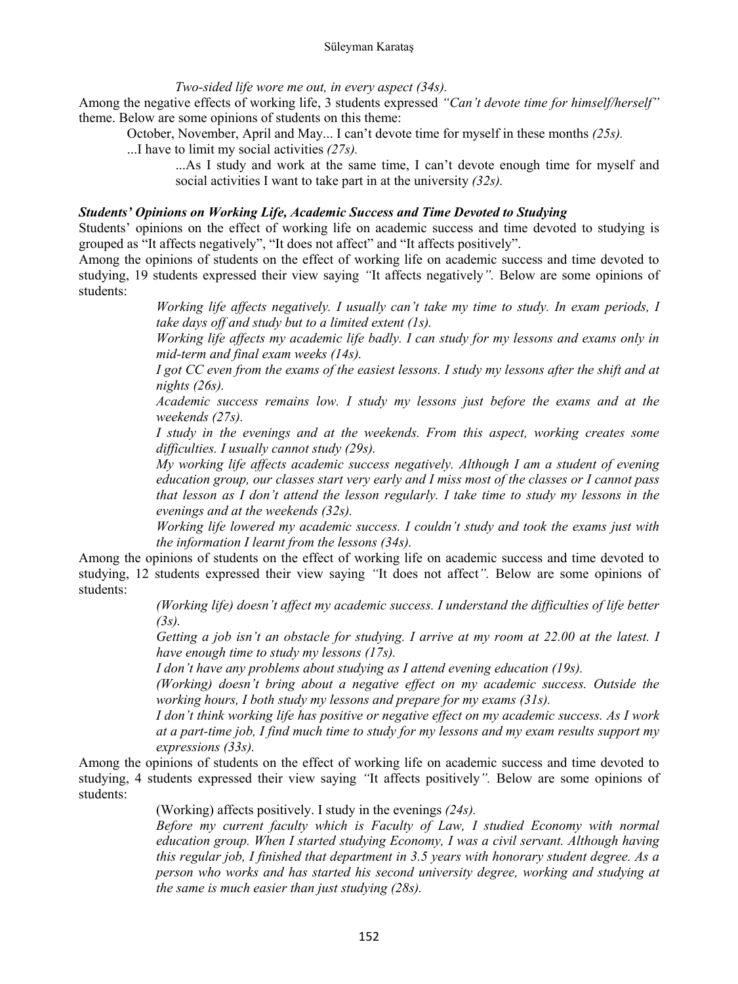*Two-sided life wore me out, in every aspect (34s).* 

Among the negative effects of working life, 3 students expressed *"Can't devote time for himself/herself"*  theme. Below are some opinions of students on this theme:

October, November, April and May... I can't devote time for myself in these months *(25s).*

...I have to limit my social activities *(27s).*

...As I study and work at the same time, I can't devote enough time for myself and social activities I want to take part in at the university *(32s).* 

#### *Students' Opinions on Working Life, Academic Success and Time Devoted to Studying*

Students' opinions on the effect of working life on academic success and time devoted to studying is grouped as "It affects negatively", "It does not affect" and "It affects positively".

Among the opinions of students on the effect of working life on academic success and time devoted to studying, 19 students expressed their view saying *"*It affects negatively*".* Below are some opinions of students:

> *Working life affects negatively. I usually can't take my time to study. In exam periods, I take days off and study but to a limited extent (1s).*

> *Working life affects my academic life badly. I can study for my lessons and exams only in mid-term and final exam weeks (14s).*

> *I got CC even from the exams of the easiest lessons. I study my lessons after the shift and at nights (26s).*

> *Academic success remains low. I study my lessons just before the exams and at the weekends (27s).*

> *I study in the evenings and at the weekends. From this aspect, working creates some difficulties. I usually cannot study (29s).*

> *My working life affects academic success negatively. Although I am a student of evening education group, our classes start very early and I miss most of the classes or I cannot pass that lesson as I don't attend the lesson regularly. I take time to study my lessons in the evenings and at the weekends (32s).*

> *Working life lowered my academic success. I couldn't study and took the exams just with the information I learnt from the lessons (34s).*

Among the opinions of students on the effect of working life on academic success and time devoted to studying, 12 students expressed their view saying *"*It does not affect*".* Below are some opinions of students:

> *(Working life) doesn't affect my academic success. I understand the difficulties of life better (3s).*

*Getting a job isn't an obstacle for studying. I arrive at my room at 22.00 at the latest. I have enough time to study my lessons (17s).* 

*I don't have any problems about studying as I attend evening education (19s).* 

*(Working) doesn't bring about a negative effect on my academic success. Outside the working hours, I both study my lessons and prepare for my exams (31s).* 

*I don't think working life has positive or negative effect on my academic success. As I work at a part-time job, I find much time to study for my lessons and my exam results support my expressions (33s).* 

Among the opinions of students on the effect of working life on academic success and time devoted to studying, 4 students expressed their view saying *"*It affects positively*".* Below are some opinions of students:

(Working) affects positively. I study in the evenings *(24s).* 

*Before my current faculty which is Faculty of Law, I studied Economy with normal education group. When I started studying Economy, I was a civil servant. Although having this regular job, I finished that department in 3.5 years with honorary student degree. As a person who works and has started his second university degree, working and studying at the same is much easier than just studying (28s).*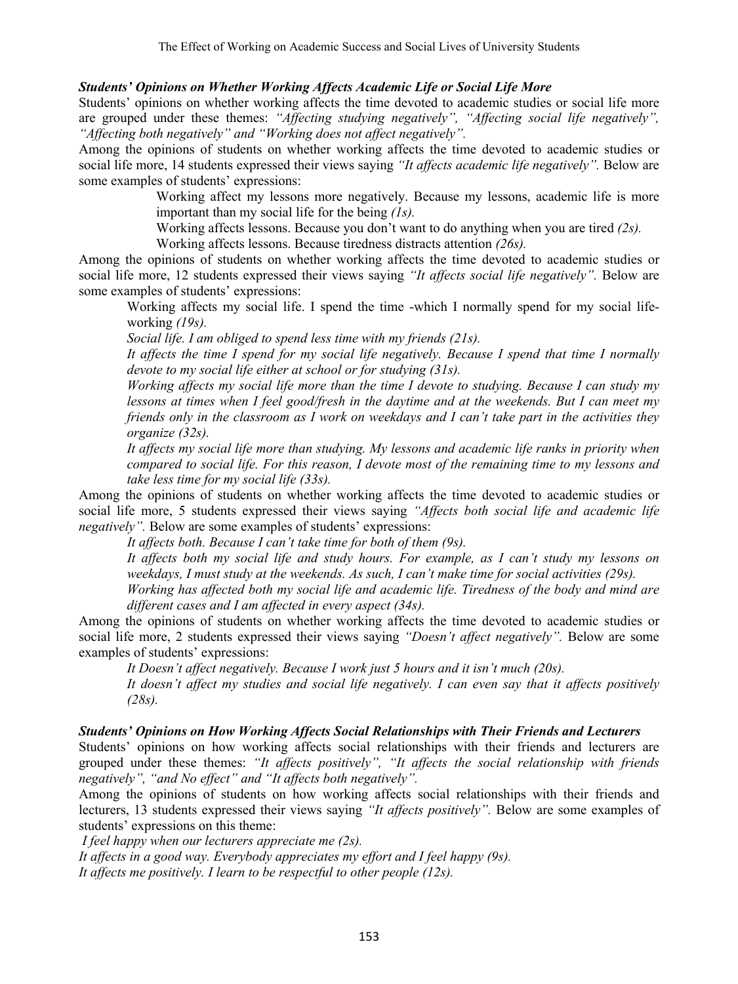## *Students' Opinions on Whether Working Affects Academic Life or Social Life More*

Students' opinions on whether working affects the time devoted to academic studies or social life more are grouped under these themes: *"Affecting studying negatively", "Affecting social life negatively", "Affecting both negatively" and "Working does not affect negatively".* 

Among the opinions of students on whether working affects the time devoted to academic studies or social life more, 14 students expressed their views saying *"It affects academic life negatively".* Below are some examples of students' expressions:

> Working affect my lessons more negatively. Because my lessons, academic life is more important than my social life for the being *(1s).*

Working affects lessons. Because you don't want to do anything when you are tired *(2s).* 

Working affects lessons. Because tiredness distracts attention *(26s).* 

Among the opinions of students on whether working affects the time devoted to academic studies or social life more, 12 students expressed their views saying "It affects social life negatively". Below are some examples of students' expressions:

Working affects my social life. I spend the time -which I normally spend for my social lifeworking *(19s).* 

*Social life. I am obliged to spend less time with my friends (21s).* 

*It affects the time I spend for my social life negatively. Because I spend that time I normally devote to my social life either at school or for studying (31s).* 

*Working affects my social life more than the time I devote to studying. Because I can study my lessons at times when I feel good/fresh in the daytime and at the weekends. But I can meet my friends only in the classroom as I work on weekdays and I can't take part in the activities they organize (32s).* 

*It affects my social life more than studying. My lessons and academic life ranks in priority when compared to social life. For this reason, I devote most of the remaining time to my lessons and take less time for my social life (33s).* 

Among the opinions of students on whether working affects the time devoted to academic studies or social life more, 5 students expressed their views saying *"Affects both social life and academic life negatively".* Below are some examples of students' expressions:

 *It affects both. Because I can't take time for both of them (9s).* 

*It affects both my social life and study hours. For example, as I can't study my lessons on weekdays, I must study at the weekends. As such, I can't make time for social activities (29s).* 

*Working has affected both my social life and academic life. Tiredness of the body and mind are different cases and I am affected in every aspect (34s).* 

Among the opinions of students on whether working affects the time devoted to academic studies or social life more, 2 students expressed their views saying *"Doesn't affect negatively"*. Below are some examples of students' expressions:

 *It Doesn't affect negatively. Because I work just 5 hours and it isn't much (20s).* 

*It doesn't affect my studies and social life negatively. I can even say that it affects positively (28s).* 

### *Students' Opinions on How Working Affects Social Relationships with Their Friends and Lecturers*

Students' opinions on how working affects social relationships with their friends and lecturers are grouped under these themes: *"It affects positively", "It affects the social relationship with friends negatively", "and No effect" and "It affects both negatively".*

Among the opinions of students on how working affects social relationships with their friends and lecturers, 13 students expressed their views saying *"It affects positively".* Below are some examples of students' expressions on this theme:

 *I feel happy when our lecturers appreciate me (2s).* 

*It affects in a good way. Everybody appreciates my effort and I feel happy (9s). It affects me positively. I learn to be respectful to other people (12s).*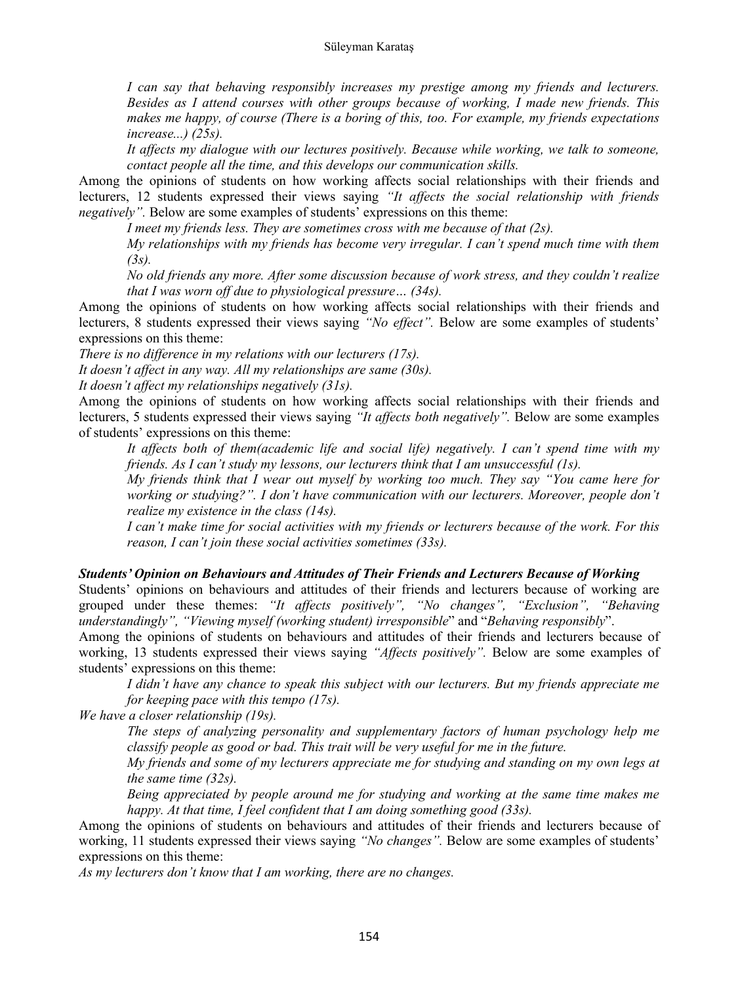*I can say that behaving responsibly increases my prestige among my friends and lecturers. Besides as I attend courses with other groups because of working, I made new friends. This makes me happy, of course (There is a boring of this, too. For example, my friends expectations increase...) (25s).* 

*It affects my dialogue with our lectures positively. Because while working, we talk to someone, contact people all the time, and this develops our communication skills.* 

Among the opinions of students on how working affects social relationships with their friends and lecturers, 12 students expressed their views saying *"It affects the social relationship with friends negatively".* Below are some examples of students' expressions on this theme:

 *I meet my friends less. They are sometimes cross with me because of that (2s).* 

*My relationships with my friends has become very irregular. I can't spend much time with them (3s).* 

*No old friends any more. After some discussion because of work stress, and they couldn't realize that I was worn off due to physiological pressure… (34s).* 

Among the opinions of students on how working affects social relationships with their friends and lecturers, 8 students expressed their views saying *"No effect".* Below are some examples of students' expressions on this theme:

*There is no difference in my relations with our lecturers (17s).* 

*It doesn't affect in any way. All my relationships are same (30s).* 

*It doesn't affect my relationships negatively (31s).* 

Among the opinions of students on how working affects social relationships with their friends and lecturers, 5 students expressed their views saying *"It affects both negatively"*. Below are some examples of students' expressions on this theme:

*It affects both of them(academic life and social life) negatively. I can't spend time with my friends. As I can't study my lessons, our lecturers think that I am unsuccessful (1s).* 

*My friends think that I wear out myself by working too much. They say "You came here for working or studying?". I don't have communication with our lecturers. Moreover, people don't realize my existence in the class (14s).* 

*I can't make time for social activities with my friends or lecturers because of the work. For this reason, I can't join these social activities sometimes (33s).* 

#### *Students' Opinion on Behaviours and Attitudes of Their Friends and Lecturers Because of Working*

Students' opinions on behaviours and attitudes of their friends and lecturers because of working are grouped under these themes: *"It affects positively", "No changes", "Exclusion", "Behaving understandingly", "Viewing myself (working student) irresponsible*" and "*Behaving responsibly*".

Among the opinions of students on behaviours and attitudes of their friends and lecturers because of working, 13 students expressed their views saying *"Affects positively".* Below are some examples of students' expressions on this theme:

*I didn't have any chance to speak this subject with our lecturers. But my friends appreciate me for keeping pace with this tempo (17s).* 

*We have a closer relationship (19s).* 

*The steps of analyzing personality and supplementary factors of human psychology help me classify people as good or bad. This trait will be very useful for me in the future.* 

*My friends and some of my lecturers appreciate me for studying and standing on my own legs at the same time (32s).* 

*Being appreciated by people around me for studying and working at the same time makes me happy. At that time, I feel confident that I am doing something good (33s).* 

Among the opinions of students on behaviours and attitudes of their friends and lecturers because of working, 11 students expressed their views saying *"No changes".* Below are some examples of students' expressions on this theme:

*As my lecturers don't know that I am working, there are no changes.*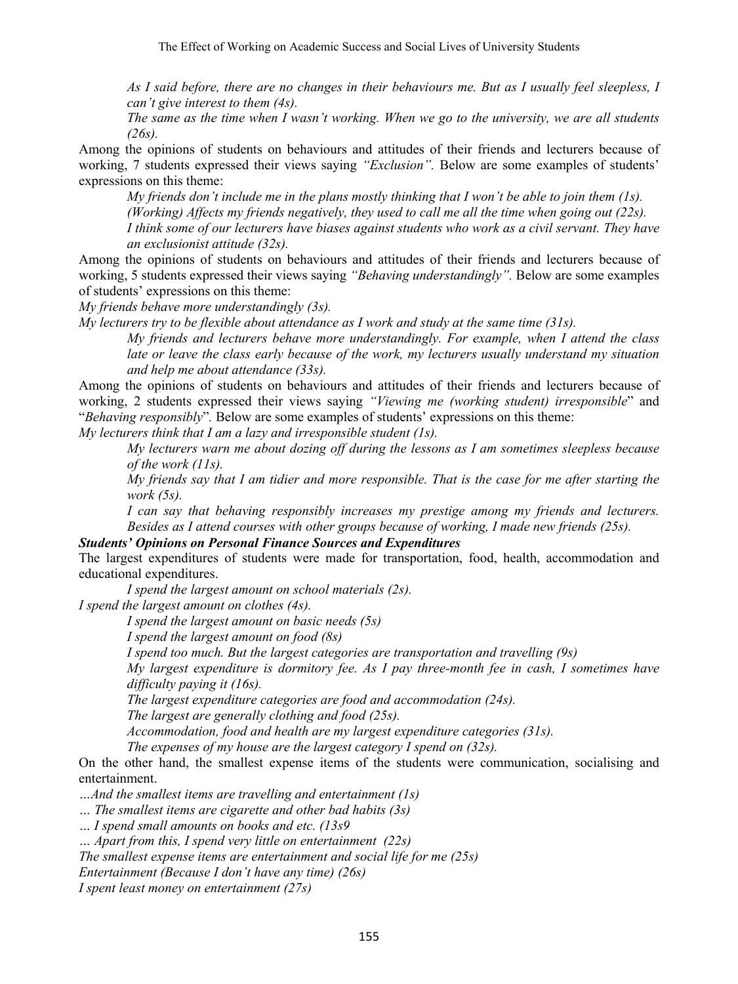*As I said before, there are no changes in their behaviours me. But as I usually feel sleepless, I can't give interest to them (4s).* 

*The same as the time when I wasn't working. When we go to the university, we are all students (26s).* 

Among the opinions of students on behaviours and attitudes of their friends and lecturers because of working, 7 students expressed their views saying *"Exclusion".* Below are some examples of students' expressions on this theme:

*My friends don't include me in the plans mostly thinking that I won't be able to join them (1s). (Working) Affects my friends negatively, they used to call me all the time when going out (22s). I think some of our lecturers have biases against students who work as a civil servant. They have an exclusionist attitude (32s).* 

Among the opinions of students on behaviours and attitudes of their friends and lecturers because of working, 5 students expressed their views saying *"Behaving understandingly".* Below are some examples of students' expressions on this theme:

*My friends behave more understandingly (3s).* 

*My lecturers try to be flexible about attendance as I work and study at the same time (31s).* 

*My friends and lecturers behave more understandingly. For example, when I attend the class*  late or leave the class early because of the work, my lecturers usually understand my situation *and help me about attendance (33s).* 

Among the opinions of students on behaviours and attitudes of their friends and lecturers because of working, 2 students expressed their views saying *"Viewing me (working student) irresponsible*" and "*Behaving responsibly*"*.* Below are some examples of students' expressions on this theme:

*My lecturers think that I am a lazy and irresponsible student (1s).* 

*My lecturers warn me about dozing off during the lessons as I am sometimes sleepless because of the work (11s).* 

*My friends say that I am tidier and more responsible. That is the case for me after starting the work (5s).* 

*I can say that behaving responsibly increases my prestige among my friends and lecturers. Besides as I attend courses with other groups because of working, I made new friends (25s).* 

*Students' Opinions on Personal Finance Sources and Expenditures* 

The largest expenditures of students were made for transportation, food, health, accommodation and educational expenditures.

 *I spend the largest amount on school materials (2s).* 

*I spend the largest amount on clothes (4s).* 

 *I spend the largest amount on basic needs (5s)* 

 *I spend the largest amount on food (8s)* 

 *I spend too much. But the largest categories are transportation and travelling (9s)* 

*My largest expenditure is dormitory fee. As I pay three-month fee in cash, I sometimes have difficulty paying it (16s).* 

*The largest expenditure categories are food and accommodation (24s).* 

*The largest are generally clothing and food (25s).* 

*Accommodation, food and health are my largest expenditure categories (31s).* 

*The expenses of my house are the largest category I spend on (32s).* 

On the other hand, the smallest expense items of the students were communication, socialising and entertainment.

*…And the smallest items are travelling and entertainment (1s)* 

*… The smallest items are cigarette and other bad habits (3s)* 

*… I spend small amounts on books and etc. (13s9* 

*… Apart from this, I spend very little on entertainment (22s)* 

*The smallest expense items are entertainment and social life for me (25s)* 

*Entertainment (Because I don't have any time) (26s)* 

*I spent least money on entertainment (27s)*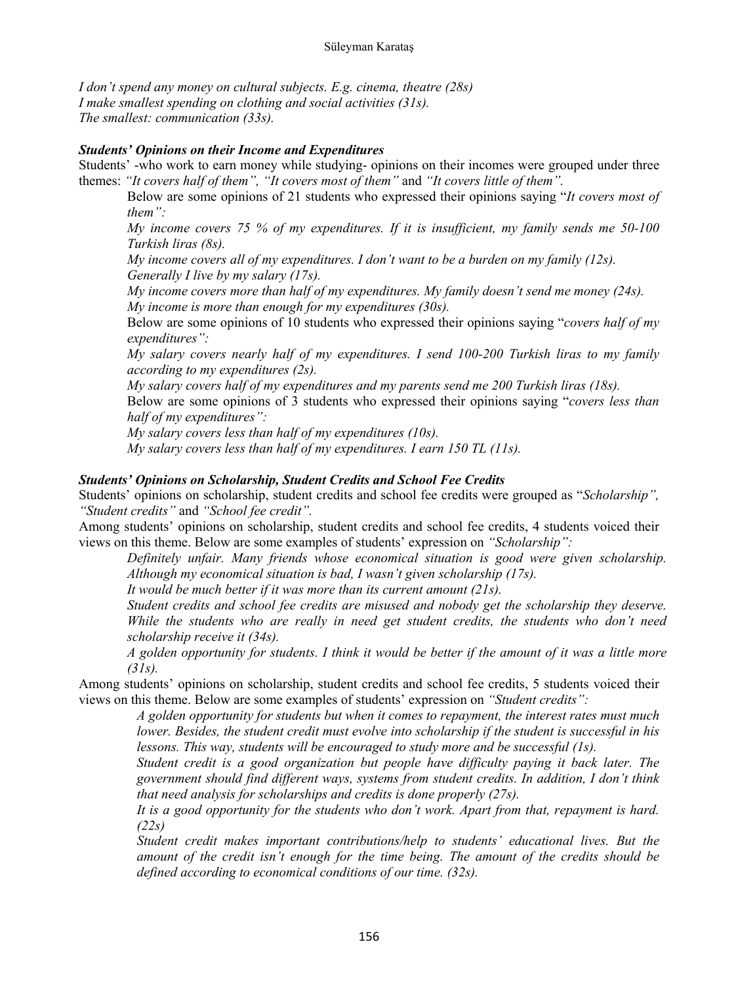#### Süleyman Karataş

*I don't spend any money on cultural subjects. E.g. cinema, theatre (28s) I make smallest spending on clothing and social activities (31s). The smallest: communication (33s).* 

### *Students' Opinions on their Income and Expenditures*

Students' -who work to earn money while studying- opinions on their incomes were grouped under three themes: *"It covers half of them", "It covers most of them"* and *"It covers little of them".*

Below are some opinions of 21 students who expressed their opinions saying "*It covers most of them":* 

*My income covers 75 % of my expenditures. If it is insufficient, my family sends me 50-100 Turkish liras (8s).* 

*My income covers all of my expenditures. I don't want to be a burden on my family (12s). Generally I live by my salary (17s).* 

*My income covers more than half of my expenditures. My family doesn't send me money (24s). My income is more than enough for my expenditures (30s).* 

Below are some opinions of 10 students who expressed their opinions saying "*covers half of my expenditures":* 

*My salary covers nearly half of my expenditures. I send 100-200 Turkish liras to my family according to my expenditures (2s).* 

*My salary covers half of my expenditures and my parents send me 200 Turkish liras (18s).* 

Below are some opinions of 3 students who expressed their opinions saying "*covers less than half of my expenditures":* 

*My salary covers less than half of my expenditures (10s).* 

*My salary covers less than half of my expenditures. I earn 150 TL (11s).* 

## *Students' Opinions on Scholarship, Student Credits and School Fee Credits*

Students' opinions on scholarship, student credits and school fee credits were grouped as "*Scholarship", "Student credits"* and *"School fee credit".*

Among students' opinions on scholarship, student credits and school fee credits, 4 students voiced their views on this theme. Below are some examples of students' expression on *"Scholarship":*

*Definitely unfair. Many friends whose economical situation is good were given scholarship. Although my economical situation is bad, I wasn't given scholarship (17s).* 

*It would be much better if it was more than its current amount (21s).* 

*Student credits and school fee credits are misused and nobody get the scholarship they deserve. While the students who are really in need get student credits, the students who don't need scholarship receive it (34s).* 

*A golden opportunity for students. I think it would be better if the amount of it was a little more (31s).* 

Among students' opinions on scholarship, student credits and school fee credits, 5 students voiced their views on this theme. Below are some examples of students' expression on *"Student credits":* 

*A golden opportunity for students but when it comes to repayment, the interest rates must much lower. Besides, the student credit must evolve into scholarship if the student is successful in his lessons. This way, students will be encouraged to study more and be successful (1s).* 

*Student credit is a good organization but people have difficulty paying it back later. The government should find different ways, systems from student credits. In addition, I don't think that need analysis for scholarships and credits is done properly (27s).* 

*It is a good opportunity for the students who don't work. Apart from that, repayment is hard. (22s)* 

*Student credit makes important contributions/help to students' educational lives. But the amount of the credit isn't enough for the time being. The amount of the credits should be defined according to economical conditions of our time. (32s).*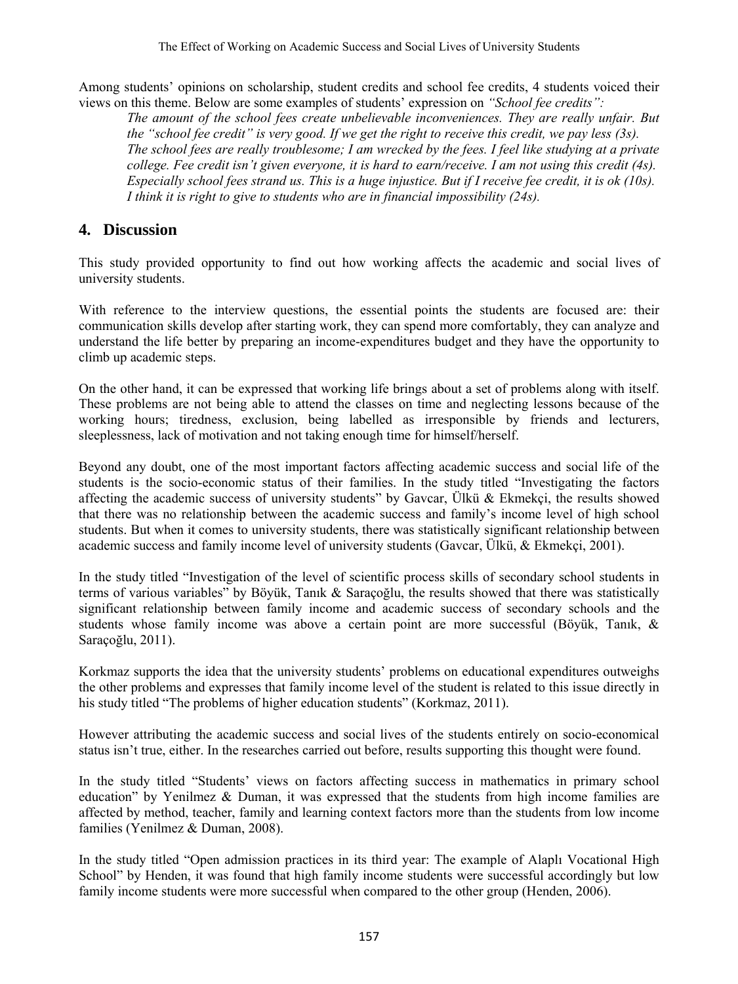Among students' opinions on scholarship, student credits and school fee credits, 4 students voiced their views on this theme. Below are some examples of students' expression on *"School fee credits":* 

*The amount of the school fees create unbelievable inconveniences. They are really unfair. But the "school fee credit" is very good. If we get the right to receive this credit, we pay less (3s). The school fees are really troublesome; I am wrecked by the fees. I feel like studying at a private college. Fee credit isn't given everyone, it is hard to earn/receive. I am not using this credit (4s). Especially school fees strand us. This is a huge injustice. But if I receive fee credit, it is ok (10s). I think it is right to give to students who are in financial impossibility (24s).* 

# **4. Discussion**

This study provided opportunity to find out how working affects the academic and social lives of university students.

With reference to the interview questions, the essential points the students are focused are: their communication skills develop after starting work, they can spend more comfortably, they can analyze and understand the life better by preparing an income-expenditures budget and they have the opportunity to climb up academic steps.

On the other hand, it can be expressed that working life brings about a set of problems along with itself. These problems are not being able to attend the classes on time and neglecting lessons because of the working hours; tiredness, exclusion, being labelled as irresponsible by friends and lecturers, sleeplessness, lack of motivation and not taking enough time for himself/herself.

Beyond any doubt, one of the most important factors affecting academic success and social life of the students is the socio-economic status of their families. In the study titled "Investigating the factors affecting the academic success of university students" by Gavcar, Ülkü & Ekmekçi, the results showed that there was no relationship between the academic success and family's income level of high school students. But when it comes to university students, there was statistically significant relationship between academic success and family income level of university students (Gavcar, Ülkü, & Ekmekçi, 2001).

In the study titled "Investigation of the level of scientific process skills of secondary school students in terms of various variables" by Böyük, Tanık & Saraçoğlu, the results showed that there was statistically significant relationship between family income and academic success of secondary schools and the students whose family income was above a certain point are more successful (Böyük, Tanık, & Saraçoğlu, 2011).

Korkmaz supports the idea that the university students' problems on educational expenditures outweighs the other problems and expresses that family income level of the student is related to this issue directly in his study titled "The problems of higher education students" (Korkmaz, 2011).

However attributing the academic success and social lives of the students entirely on socio-economical status isn't true, either. In the researches carried out before, results supporting this thought were found.

In the study titled "Students' views on factors affecting success in mathematics in primary school education" by Yenilmez & Duman, it was expressed that the students from high income families are affected by method, teacher, family and learning context factors more than the students from low income families (Yenilmez & Duman, 2008).

In the study titled "Open admission practices in its third year: The example of Alaplı Vocational High School" by Henden, it was found that high family income students were successful accordingly but low family income students were more successful when compared to the other group (Henden, 2006).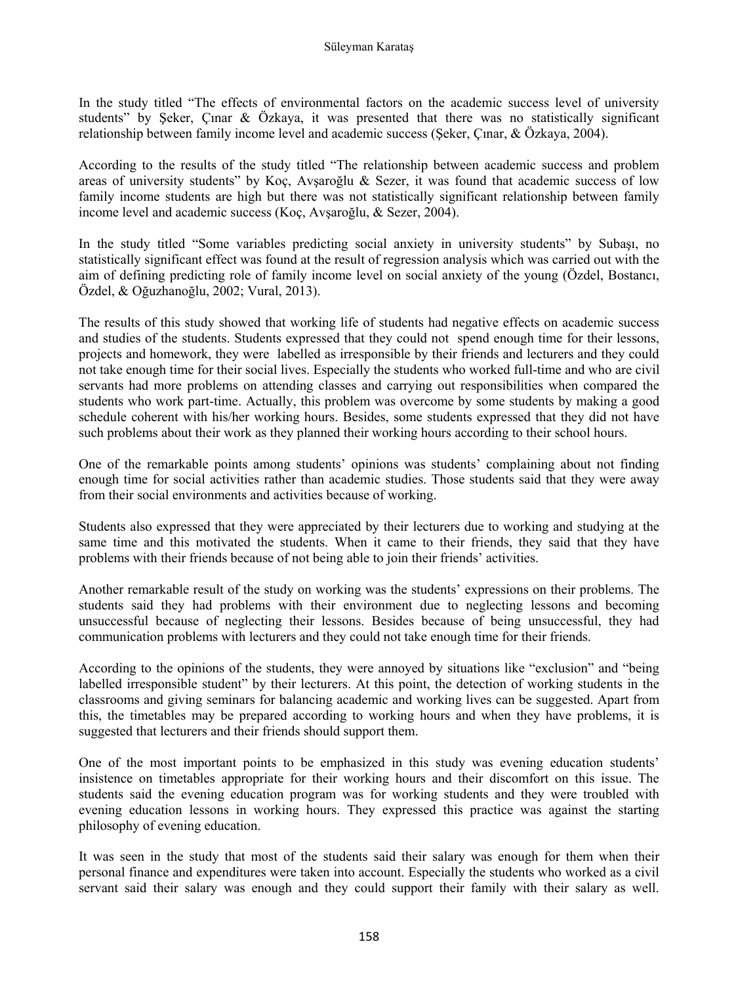In the study titled "The effects of environmental factors on the academic success level of university students" by Şeker, Çınar & Özkaya, it was presented that there was no statistically significant relationship between family income level and academic success (Şeker, Çınar, & Özkaya, 2004).

According to the results of the study titled "The relationship between academic success and problem areas of university students" by Koç, Avşaroğlu & Sezer, it was found that academic success of low family income students are high but there was not statistically significant relationship between family income level and academic success (Koç, Avşaroğlu, & Sezer, 2004).

In the study titled "Some variables predicting social anxiety in university students" by Subaşı, no statistically significant effect was found at the result of regression analysis which was carried out with the aim of defining predicting role of family income level on social anxiety of the young (Özdel, Bostancı, Özdel, & Oğuzhanoğlu, 2002; Vural, 2013).

The results of this study showed that working life of students had negative effects on academic success and studies of the students. Students expressed that they could not spend enough time for their lessons, projects and homework, they were labelled as irresponsible by their friends and lecturers and they could not take enough time for their social lives. Especially the students who worked full-time and who are civil servants had more problems on attending classes and carrying out responsibilities when compared the students who work part-time. Actually, this problem was overcome by some students by making a good schedule coherent with his/her working hours. Besides, some students expressed that they did not have such problems about their work as they planned their working hours according to their school hours.

One of the remarkable points among students' opinions was students' complaining about not finding enough time for social activities rather than academic studies. Those students said that they were away from their social environments and activities because of working.

Students also expressed that they were appreciated by their lecturers due to working and studying at the same time and this motivated the students. When it came to their friends, they said that they have problems with their friends because of not being able to join their friends' activities.

Another remarkable result of the study on working was the students' expressions on their problems. The students said they had problems with their environment due to neglecting lessons and becoming unsuccessful because of neglecting their lessons. Besides because of being unsuccessful, they had communication problems with lecturers and they could not take enough time for their friends.

According to the opinions of the students, they were annoyed by situations like "exclusion" and "being labelled irresponsible student" by their lecturers. At this point, the detection of working students in the classrooms and giving seminars for balancing academic and working lives can be suggested. Apart from this, the timetables may be prepared according to working hours and when they have problems, it is suggested that lecturers and their friends should support them.

One of the most important points to be emphasized in this study was evening education students' insistence on timetables appropriate for their working hours and their discomfort on this issue. The students said the evening education program was for working students and they were troubled with evening education lessons in working hours. They expressed this practice was against the starting philosophy of evening education.

It was seen in the study that most of the students said their salary was enough for them when their personal finance and expenditures were taken into account. Especially the students who worked as a civil servant said their salary was enough and they could support their family with their salary as well.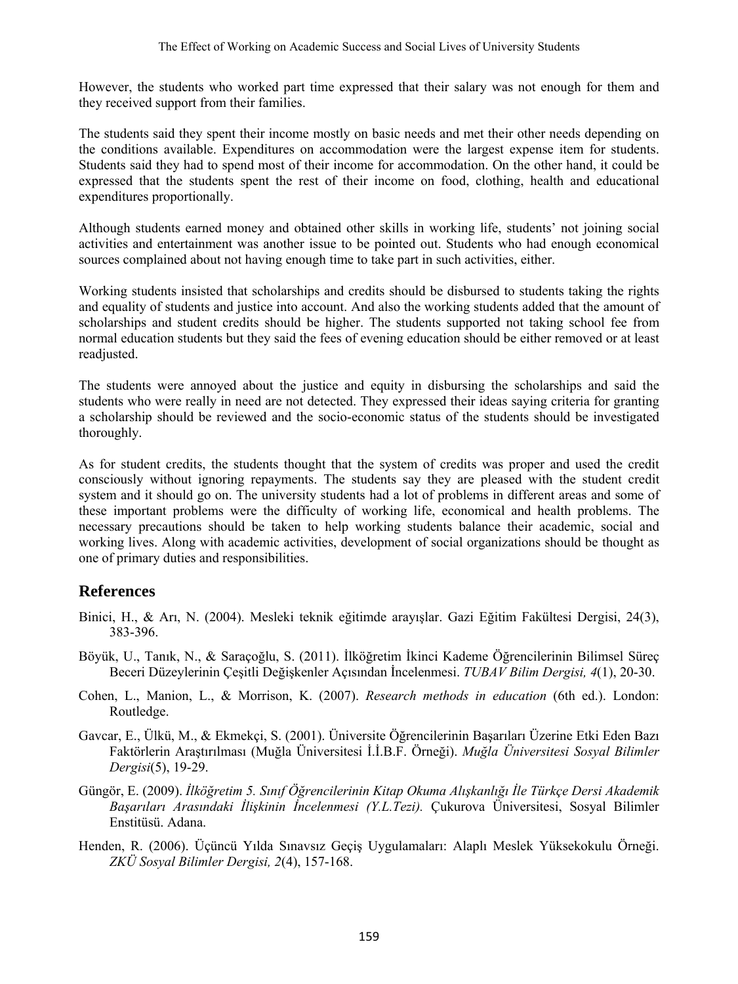However, the students who worked part time expressed that their salary was not enough for them and they received support from their families.

The students said they spent their income mostly on basic needs and met their other needs depending on the conditions available. Expenditures on accommodation were the largest expense item for students. Students said they had to spend most of their income for accommodation. On the other hand, it could be expressed that the students spent the rest of their income on food, clothing, health and educational expenditures proportionally.

Although students earned money and obtained other skills in working life, students' not joining social activities and entertainment was another issue to be pointed out. Students who had enough economical sources complained about not having enough time to take part in such activities, either.

Working students insisted that scholarships and credits should be disbursed to students taking the rights and equality of students and justice into account. And also the working students added that the amount of scholarships and student credits should be higher. The students supported not taking school fee from normal education students but they said the fees of evening education should be either removed or at least readjusted.

The students were annoyed about the justice and equity in disbursing the scholarships and said the students who were really in need are not detected. They expressed their ideas saying criteria for granting a scholarship should be reviewed and the socio-economic status of the students should be investigated thoroughly.

As for student credits, the students thought that the system of credits was proper and used the credit consciously without ignoring repayments. The students say they are pleased with the student credit system and it should go on. The university students had a lot of problems in different areas and some of these important problems were the difficulty of working life, economical and health problems. The necessary precautions should be taken to help working students balance their academic, social and working lives. Along with academic activities, development of social organizations should be thought as one of primary duties and responsibilities.

## **References**

- Binici, H., & Arı, N. (2004). Mesleki teknik eğitimde arayışlar. Gazi Eğitim Fakültesi Dergisi, 24(3), 383-396.
- Böyük, U., Tanık, N., & Saraçoğlu, S. (2011). İlköğretim İkinci Kademe Öğrencilerinin Bilimsel Süreç Beceri Düzeylerinin Çeşitli Değişkenler Açısından İncelenmesi. *TUBAV Bilim Dergisi, 4*(1), 20-30.
- Cohen, L., Manion, L., & Morrison, K. (2007). *Research methods in education* (6th ed.). London: Routledge.
- Gavcar, E., Ülkü, M., & Ekmekçi, S. (2001). Üniversite Öğrencilerinin Başarıları Üzerine Etki Eden Bazı Faktörlerin Araştırılması (Muğla Üniversitesi İ.İ.B.F. Örneği). *Muğla Üniversitesi Sosyal Bilimler Dergisi*(5), 19-29.
- Güngör, E. (2009). *İlköğretim 5. Sınıf Öğrencilerinin Kitap Okuma Alışkanlığı İle Türkçe Dersi Akademik Başarıları Arasındaki İlişkinin İncelenmesi (Y.L.Tezi).* Çukurova Üniversitesi, Sosyal Bilimler Enstitüsü. Adana.
- Henden, R. (2006). Üçüncü Yılda Sınavsız Geçiş Uygulamaları: Alaplı Meslek Yüksekokulu Örneği. *ZKÜ Sosyal Bilimler Dergisi, 2*(4), 157-168.